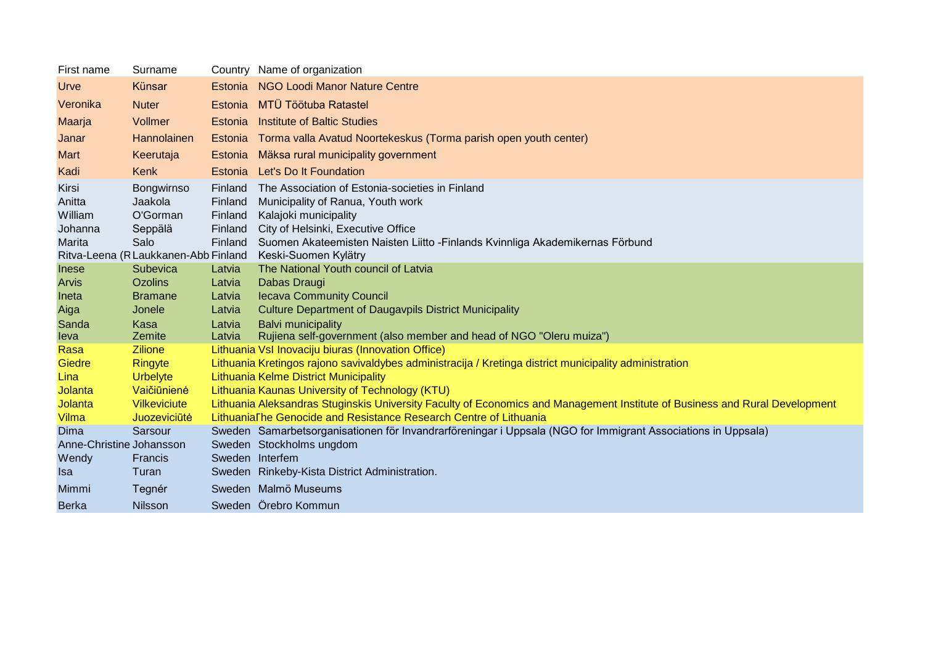| First name                                      | Surname                                              |                                                     | Country Name of organization                                                                                                                                                                                                         |
|-------------------------------------------------|------------------------------------------------------|-----------------------------------------------------|--------------------------------------------------------------------------------------------------------------------------------------------------------------------------------------------------------------------------------------|
| Urve                                            | Künsar                                               | Estonia                                             | NGO Loodi Manor Nature Centre                                                                                                                                                                                                        |
| Veronika                                        | <b>Nuter</b>                                         | Estonia                                             | <b>MTÜ Töötuba Ratastel</b>                                                                                                                                                                                                          |
| Maarja                                          | Vollmer                                              | Estonia                                             | <b>Institute of Baltic Studies</b>                                                                                                                                                                                                   |
| Janar                                           | Hannolainen                                          | Estonia                                             | Torma valla Avatud Noortekeskus (Torma parish open youth center)                                                                                                                                                                     |
| Mart                                            | Keerutaja                                            | Estonia                                             | Mäksa rural municipality government                                                                                                                                                                                                  |
| Kadi                                            | Kenk                                                 | Estonia                                             | Let's Do It Foundation                                                                                                                                                                                                               |
| Kirsi<br>Anitta<br>William<br>Johanna<br>Marita | Bongwirnso<br>Jaakola<br>O'Gorman<br>Seppälä<br>Salo | Finland<br>Finland<br>Finland<br>Finland<br>Finland | The Association of Estonia-societies in Finland<br>Municipality of Ranua, Youth work<br>Kalajoki municipality<br>City of Helsinki, Executive Office<br>Suomen Akateemisten Naisten Liitto - Finlands Kvinnliga Akademikernas Förbund |
|                                                 | Ritva-Leena (R Laukkanen-Abb Finland                 |                                                     | Keski-Suomen Kylätry                                                                                                                                                                                                                 |
| Inese<br><b>Arvis</b>                           | Subevica<br><b>Ozolins</b>                           | Latvia<br>Latvia                                    | The National Youth council of Latvia<br>Dabas Draugi                                                                                                                                                                                 |
| Ineta                                           | <b>Bramane</b>                                       | Latvia                                              | <b>Iecava Community Council</b>                                                                                                                                                                                                      |
| Aiga                                            | Jonele                                               | Latvia                                              | <b>Culture Department of Daugavpils District Municipality</b>                                                                                                                                                                        |
| Sanda<br>leva                                   | Kasa<br>Zemite                                       | Latvia<br>Latvia                                    | <b>Balvi municipality</b><br>Rujiena self-government (also member and head of NGO "Oleru muiza")                                                                                                                                     |
| Rasa                                            | <b>Zilione</b>                                       |                                                     | Lithuania VsI Inovaciju biuras (Innovation Office)                                                                                                                                                                                   |
| Giedre                                          | Ringyte                                              |                                                     | Lithuania Kretingos rajono savivaldybes administracija / Kretinga district municipality administration                                                                                                                               |
| Lina                                            | <b>Urbelyte</b>                                      |                                                     | <b>Lithuania Kelme District Municipality</b>                                                                                                                                                                                         |
| Jolanta                                         | Vaičiūnienė                                          |                                                     | Lithuania Kaunas University of Technology (KTU)                                                                                                                                                                                      |
| Jolanta                                         | <b>Vilkeviciute</b>                                  |                                                     | Lithuania Aleksandras Stuginskis University Faculty of Economics and Management Institute of Business and Rural Development                                                                                                          |
| Vilma                                           | Juozeviciūtė                                         |                                                     | Lithuania The Genocide and Resistance Research Centre of Lithuania                                                                                                                                                                   |
| Dima                                            | Sarsour                                              |                                                     | Sweden Samarbetsorganisationen för Invandrarföreningar i Uppsala (NGO for Immigrant Associations in Uppsala)                                                                                                                         |
| Anne-Christine Johansson                        |                                                      |                                                     | Sweden Stockholms ungdom                                                                                                                                                                                                             |
| Wendy<br><b>Isa</b>                             | Francis<br>Turan                                     |                                                     | Sweden Interfem<br>Sweden Rinkeby-Kista District Administration.                                                                                                                                                                     |
|                                                 |                                                      |                                                     |                                                                                                                                                                                                                                      |
| Mimmi                                           | Tegnér                                               |                                                     | Sweden Malmö Museums                                                                                                                                                                                                                 |
| <b>Berka</b>                                    | <b>Nilsson</b>                                       |                                                     | Sweden Orebro Kommun                                                                                                                                                                                                                 |